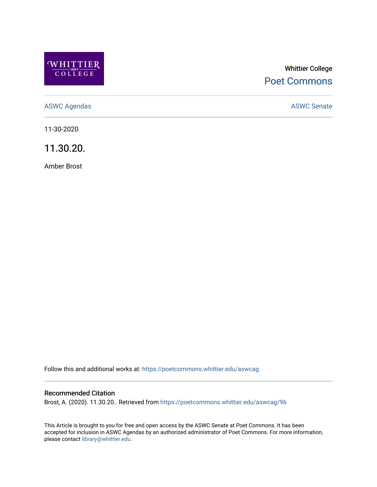

# Whittier College [Poet Commons](https://poetcommons.whittier.edu/)

[ASWC Agendas](https://poetcommons.whittier.edu/aswcag) **ASWC Senate** 

11-30-2020

11.30.20.

Amber Brost

Follow this and additional works at: [https://poetcommons.whittier.edu/aswcag](https://poetcommons.whittier.edu/aswcag?utm_source=poetcommons.whittier.edu%2Faswcag%2F96&utm_medium=PDF&utm_campaign=PDFCoverPages) 

## Recommended Citation

Brost, A. (2020). 11.30.20.. Retrieved from [https://poetcommons.whittier.edu/aswcag/96](https://poetcommons.whittier.edu/aswcag/96?utm_source=poetcommons.whittier.edu%2Faswcag%2F96&utm_medium=PDF&utm_campaign=PDFCoverPages) 

This Article is brought to you for free and open access by the ASWC Senate at Poet Commons. It has been accepted for inclusion in ASWC Agendas by an authorized administrator of Poet Commons. For more information, please contact [library@whittier.edu](mailto:library@whittier.edu).